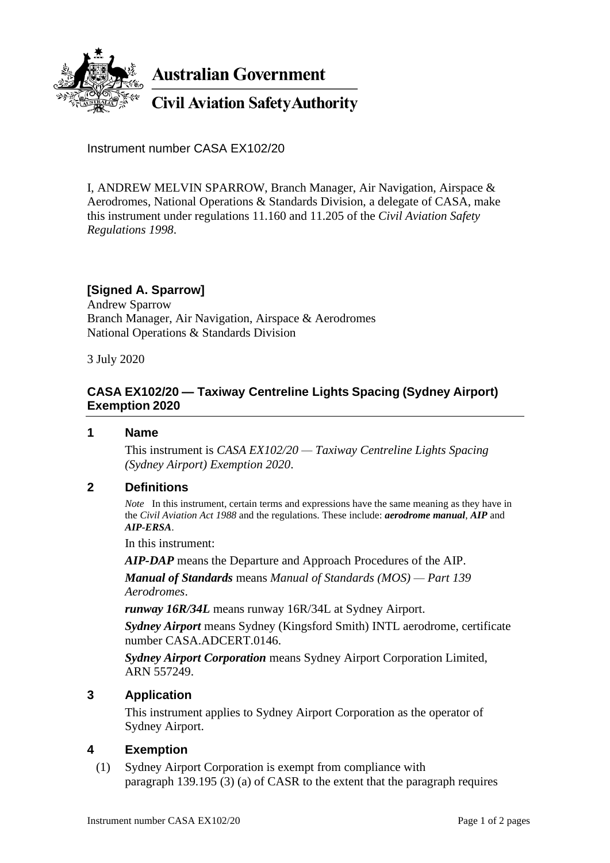

**Australian Government** 

**Civil Aviation Safety Authority** 

Instrument number CASA EX102/20

I, ANDREW MELVIN SPARROW, Branch Manager, Air Navigation, Airspace & Aerodromes, National Operations & Standards Division, a delegate of CASA, make this instrument under regulations 11.160 and 11.205 of the *Civil Aviation Safety Regulations 1998*.

# **[Signed A. Sparrow]**

Andrew Sparrow Branch Manager, Air Navigation, Airspace & Aerodromes National Operations & Standards Division

3 July 2020

## **CASA EX102/20 — Taxiway Centreline Lights Spacing (Sydney Airport) Exemption 2020**

#### **1 Name**

This instrument is *CASA EX102/20 — Taxiway Centreline Lights Spacing (Sydney Airport) Exemption 2020*.

#### **2 Definitions**

*Note* In this instrument, certain terms and expressions have the same meaning as they have in the *Civil Aviation Act 1988* and the regulations. These include: *aerodrome manual*, *AIP* and *AIP-ERSA*.

In this instrument:

*AIP-DAP* means the Departure and Approach Procedures of the AIP.

*Manual of Standards* means *Manual of Standards (MOS) — Part 139 Aerodromes*.

*runway 16R/34L* means runway 16R/34L at Sydney Airport.

*Sydney Airport* means Sydney (Kingsford Smith) INTL aerodrome, certificate number CASA.ADCERT.0146.

*Sydney Airport Corporation* means Sydney Airport Corporation Limited, ARN 557249.

#### **3 Application**

This instrument applies to Sydney Airport Corporation as the operator of Sydney Airport.

#### **4 Exemption**

(1) Sydney Airport Corporation is exempt from compliance with paragraph 139.195 (3) (a) of CASR to the extent that the paragraph requires